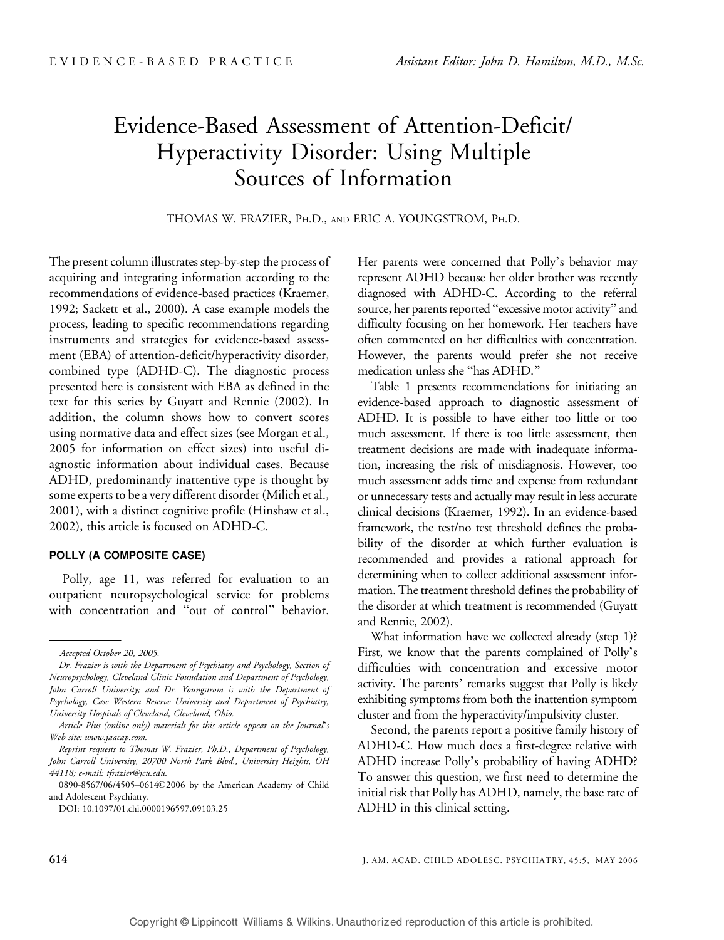# Evidence-Based Assessment of Attention-Deficit/ Hyperactivity Disorder: Using Multiple Sources of Information

THOMAS W. FRAZIER, PH.D., AND ERIC A. YOUNGSTROM, PH.D.

The present column illustrates step-by-step the process of acquiring and integrating information according to the recommendations of evidence-based practices (Kraemer, 1992; Sackett et al., 2000). A case example models the process, leading to specific recommendations regarding instruments and strategies for evidence-based assessment (EBA) of attention-deficit/hyperactivity disorder, combined type (ADHD-C). The diagnostic process presented here is consistent with EBA as defined in the text for this series by Guyatt and Rennie (2002). In addition, the column shows how to convert scores using normative data and effect sizes (see Morgan et al., 2005 for information on effect sizes) into useful diagnostic information about individual cases. Because ADHD, predominantly inattentive type is thought by some experts to be a very different disorder (Milich et al., 2001), with a distinct cognitive profile (Hinshaw et al., 2002), this article is focused on ADHD-C.

## POLLY (A COMPOSITE CASE)

Polly, age 11, was referred for evaluation to an outpatient neuropsychological service for problems with concentration and "out of control" behavior.

Her parents were concerned that Polly's behavior may represent ADHD because her older brother was recently diagnosed with ADHD-C. According to the referral source, her parents reported "excessive motor activity" and difficulty focusing on her homework. Her teachers have often commented on her difficulties with concentration. However, the parents would prefer she not receive medication unless she "has ADHD."

Table 1 presents recommendations for initiating an evidence-based approach to diagnostic assessment of ADHD. It is possible to have either too little or too much assessment. If there is too little assessment, then treatment decisions are made with inadequate information, increasing the risk of misdiagnosis. However, too much assessment adds time and expense from redundant or unnecessary tests and actually may result in less accurate clinical decisions (Kraemer, 1992). In an evidence-based framework, the test/no test threshold defines the probability of the disorder at which further evaluation is recommended and provides a rational approach for determining when to collect additional assessment information. The treatment threshold defines the probability of the disorder at which treatment is recommended (Guyatt and Rennie, 2002).

What information have we collected already (step 1)? First, we know that the parents complained of Polly's difficulties with concentration and excessive motor activity. The parents' remarks suggest that Polly is likely exhibiting symptoms from both the inattention symptom cluster and from the hyperactivity/impulsivity cluster.

Second, the parents report a positive family history of ADHD-C. How much does a first-degree relative with ADHD increase Polly's probability of having ADHD? To answer this question, we first need to determine the initial risk that Polly has ADHD, namely, the base rate of ADHD in this clinical setting.

Accepted October 20, 2005.

Dr. Frazier is with the Department of Psychiatry and Psychology, Section of Neuropsychology, Cleveland Clinic Foundation and Department of Psychology, John Carroll University; and Dr. Youngstrom is with the Department of Psychology, Case Western Reserve University and Department of Psychiatry, University Hospitals of Cleveland, Cleveland, Ohio.

Article Plus (online only) materials for this article appear on the Journal's Web site: www.jaacap.com.

Reprint requests to Thomas W. Frazier, Ph.D., Department of Psychology, John Carroll University, 20700 North Park Blvd., University Heights, OH 44118; e-mail: tfrazier@jcu.edu.

<sup>0890-8567/06/4505-0614©2006</sup> by the American Academy of Child and Adolescent Psychiatry.

DOI: 10.1097/01.chi.0000196597.09103.25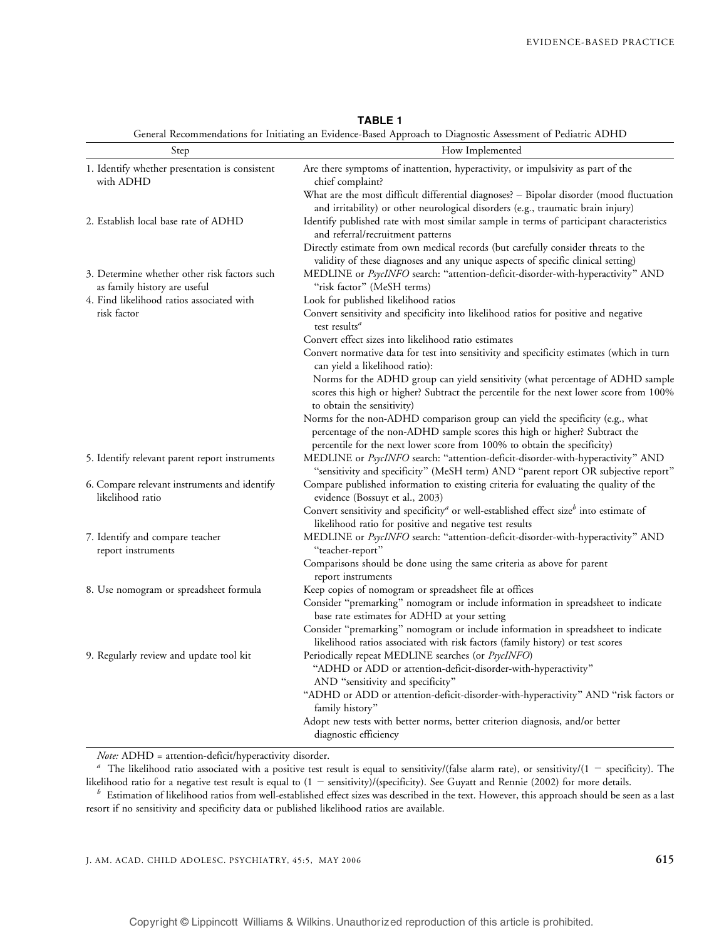| Step                                                                                                | How Implemented                                                                                                                                                                                                                         |
|-----------------------------------------------------------------------------------------------------|-----------------------------------------------------------------------------------------------------------------------------------------------------------------------------------------------------------------------------------------|
| 1. Identify whether presentation is consistent<br>with ADHD<br>2. Establish local base rate of ADHD | Are there symptoms of inattention, hyperactivity, or impulsivity as part of the<br>chief complaint?                                                                                                                                     |
|                                                                                                     | What are the most difficult differential diagnoses? - Bipolar disorder (mood fluctuation                                                                                                                                                |
|                                                                                                     | and irritability) or other neurological disorders (e.g., traumatic brain injury)<br>Identify published rate with most similar sample in terms of participant characteristics                                                            |
|                                                                                                     | and referral/recruitment patterns                                                                                                                                                                                                       |
|                                                                                                     | Directly estimate from own medical records (but carefully consider threats to the                                                                                                                                                       |
|                                                                                                     | validity of these diagnoses and any unique aspects of specific clinical setting)                                                                                                                                                        |
| 3. Determine whether other risk factors such<br>as family history are useful                        | MEDLINE or PsycINFO search: "attention-deficit-disorder-with-hyperactivity" AND<br>"risk factor" (MeSH terms)                                                                                                                           |
| 4. Find likelihood ratios associated with<br>risk factor                                            | Look for published likelihood ratios                                                                                                                                                                                                    |
|                                                                                                     | Convert sensitivity and specificity into likelihood ratios for positive and negative<br>test results <sup>a</sup>                                                                                                                       |
|                                                                                                     | Convert effect sizes into likelihood ratio estimates                                                                                                                                                                                    |
|                                                                                                     | Convert normative data for test into sensitivity and specificity estimates (which in turn<br>can yield a likelihood ratio):                                                                                                             |
|                                                                                                     | Norms for the ADHD group can yield sensitivity (what percentage of ADHD sample<br>scores this high or higher? Subtract the percentile for the next lower score from 100%<br>to obtain the sensitivity)                                  |
|                                                                                                     | Norms for the non-ADHD comparison group can yield the specificity (e.g., what<br>percentage of the non-ADHD sample scores this high or higher? Subtract the<br>percentile for the next lower score from 100% to obtain the specificity) |
| 5. Identify relevant parent report instruments                                                      | MEDLINE or PsycINFO search: "attention-deficit-disorder-with-hyperactivity" AND<br>"sensitivity and specificity" (MeSH term) AND "parent report OR subjective report"                                                                   |
| 6. Compare relevant instruments and identify<br>likelihood ratio                                    | Compare published information to existing criteria for evaluating the quality of the<br>evidence (Bossuyt et al., 2003)                                                                                                                 |
|                                                                                                     | Convert sensitivity and specificity <sup>a</sup> or well-established effect size <sup>b</sup> into estimate of                                                                                                                          |
|                                                                                                     | likelihood ratio for positive and negative test results                                                                                                                                                                                 |
| 7. Identify and compare teacher                                                                     | MEDLINE or PsycINFO search: "attention-deficit-disorder-with-hyperactivity" AND                                                                                                                                                         |
| report instruments                                                                                  | "teacher-report"                                                                                                                                                                                                                        |
|                                                                                                     | Comparisons should be done using the same criteria as above for parent<br>report instruments                                                                                                                                            |
| 8. Use nomogram or spreadsheet formula                                                              | Keep copies of nomogram or spreadsheet file at offices                                                                                                                                                                                  |
|                                                                                                     | Consider "premarking" nomogram or include information in spreadsheet to indicate<br>base rate estimates for ADHD at your setting                                                                                                        |
|                                                                                                     | Consider "premarking" nomogram or include information in spreadsheet to indicate<br>likelihood ratios associated with risk factors (family history) or test scores                                                                      |
| 9. Regularly review and update tool kit                                                             | Periodically repeat MEDLINE searches (or PsycINFO)<br>"ADHD or ADD or attention-deficit-disorder-with-hyperactivity"<br>AND "sensitivity and specificity"                                                                               |
|                                                                                                     | "ADHD or ADD or attention-deficit-disorder-with-hyperactivity" AND "risk factors or<br>family history"                                                                                                                                  |
|                                                                                                     | Adopt new tests with better norms, better criterion diagnosis, and/or better<br>diagnostic efficiency                                                                                                                                   |

#### TABLE 1

General Recommendations for Initiating an Evidence-Based Approach to Diagnostic Assessment of Pediatric ADHD

*Note:* ADHD = attention-deficit/hyperactivity disorder.<br>
<sup>*a*</sup> The likelihood ratio associated with a positive test result is equal to sensitivity/(false alarm rate), or sensitivity/(1 – specificity). The likelihood rati

 $\overset{b}{ }$  Estimation of likelihood ratios from well-established effect sizes was described in the text. However, this approach should be seen as a last resort if no sensitivity and specificity data or published likelihood ratios are available.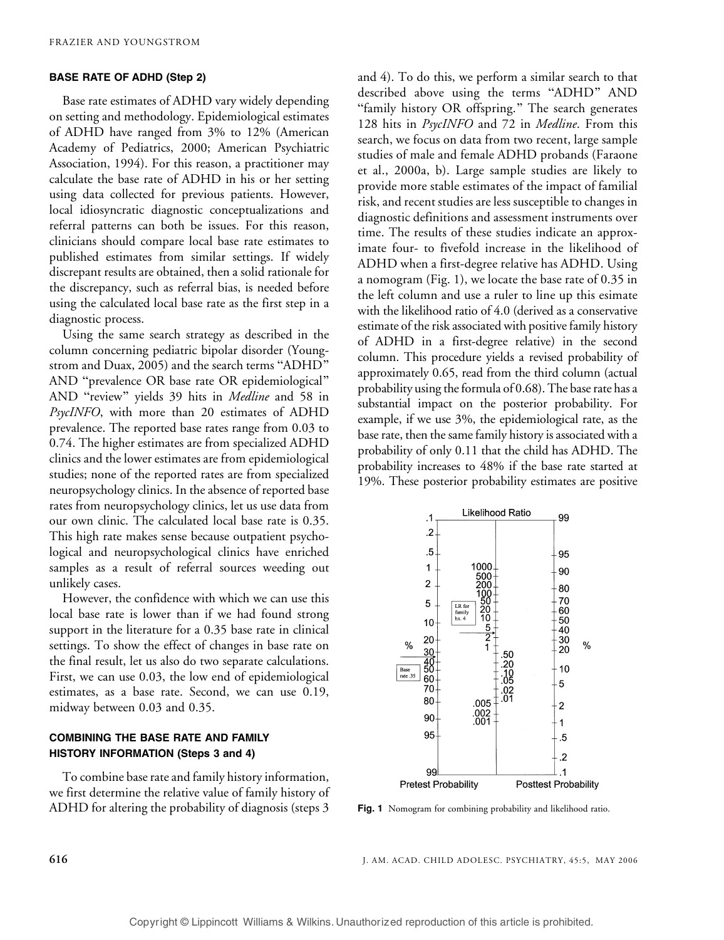## BASE RATE OF ADHD (Step 2)

Base rate estimates of ADHD vary widely depending on setting and methodology. Epidemiological estimates of ADHD have ranged from 3% to 12% (American Academy of Pediatrics, 2000; American Psychiatric Association, 1994). For this reason, a practitioner may calculate the base rate of ADHD in his or her setting using data collected for previous patients. However, local idiosyncratic diagnostic conceptualizations and referral patterns can both be issues. For this reason, clinicians should compare local base rate estimates to published estimates from similar settings. If widely discrepant results are obtained, then a solid rationale for the discrepancy, such as referral bias, is needed before using the calculated local base rate as the first step in a diagnostic process.

Using the same search strategy as described in the column concerning pediatric bipolar disorder (Youngstrom and Duax, 2005) and the search terms "ADHD" AND "prevalence OR base rate OR epidemiological" AND "review" yields 39 hits in *Medline* and 58 in PsycINFO, with more than 20 estimates of ADHD prevalence. The reported base rates range from 0.03 to 0.74. The higher estimates are from specialized ADHD clinics and the lower estimates are from epidemiological studies; none of the reported rates are from specialized neuropsychology clinics. In the absence of reported base rates from neuropsychology clinics, let us use data from our own clinic. The calculated local base rate is 0.35. This high rate makes sense because outpatient psychological and neuropsychological clinics have enriched samples as a result of referral sources weeding out unlikely cases.

However, the confidence with which we can use this local base rate is lower than if we had found strong support in the literature for a 0.35 base rate in clinical settings. To show the effect of changes in base rate on the final result, let us also do two separate calculations. First, we can use 0.03, the low end of epidemiological estimates, as a base rate. Second, we can use 0.19, midway between 0.03 and 0.35.

## COMBINING THE BASE RATE AND FAMILY HISTORY INFORMATION (Steps 3 and 4)

To combine base rate and family history information, we first determine the relative value of family history of ADHD for altering the probability of diagnosis (steps 3

and 4). To do this, we perform a similar search to that described above using the terms "ADHD" AND "family history OR offspring." The search generates 128 hits in *PsycINFO* and 72 in *Medline*. From this search, we focus on data from two recent, large sample studies of male and female ADHD probands (Faraone et al., 2000a, b). Large sample studies are likely to provide more stable estimates of the impact of familial risk, and recent studies are less susceptible to changes in diagnostic definitions and assessment instruments over time. The results of these studies indicate an approximate four- to fivefold increase in the likelihood of ADHD when a first-degree relative has ADHD. Using a nomogram (Fig. 1), we locate the base rate of 0.35 in the left column and use a ruler to line up this esimate with the likelihood ratio of 4.0 (derived as a conservative estimate of the risk associated with positive family history of ADHD in a first-degree relative) in the second column. This procedure yields a revised probability of approximately 0.65, read from the third column (actual probability using the formula of 0.68). The base rate has a substantial impact on the posterior probability. For example, if we use 3%, the epidemiological rate, as the base rate, then the same family history is associated with a probability of only 0.11 that the child has ADHD. The probability increases to 48% if the base rate started at 19%. These posterior probability estimates are positive



Fig. 1 Nomogram for combining probability and likelihood ratio.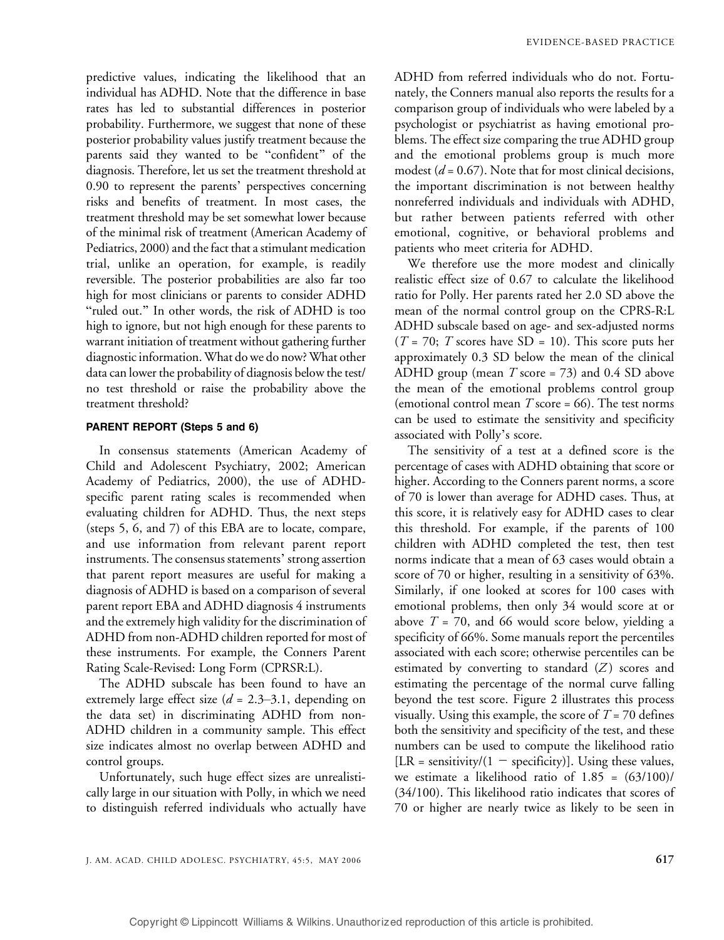predictive values, indicating the likelihood that an individual has ADHD. Note that the difference in base rates has led to substantial differences in posterior probability. Furthermore, we suggest that none of these posterior probability values justify treatment because the parents said they wanted to be "confident" of the diagnosis. Therefore, let us set the treatment threshold at 0.90 to represent the parents' perspectives concerning risks and benefits of treatment. In most cases, the treatment threshold may be set somewhat lower because of the minimal risk of treatment (American Academy of Pediatrics, 2000) and the fact that a stimulant medication trial, unlike an operation, for example, is readily reversible. The posterior probabilities are also far too high for most clinicians or parents to consider ADHD "ruled out." In other words, the risk of ADHD is too high to ignore, but not high enough for these parents to warrant initiation of treatment without gathering further diagnostic information.What do we do now? What other data can lower the probability of diagnosis below the test/ no test threshold or raise the probability above the treatment threshold?

### PARENT REPORT (Steps 5 and 6)

In consensus statements (American Academy of Child and Adolescent Psychiatry, 2002; American Academy of Pediatrics, 2000), the use of ADHDspecific parent rating scales is recommended when evaluating children for ADHD. Thus, the next steps (steps 5, 6, and 7) of this EBA are to locate, compare, and use information from relevant parent report instruments. The consensus statements' strong assertion that parent report measures are useful for making a diagnosis of ADHD is based on a comparison of several parent report EBA and ADHD diagnosis 4 instruments and the extremely high validity for the discrimination of ADHD from non-ADHD children reported for most of these instruments. For example, the Conners Parent Rating Scale-Revised: Long Form (CPRSR:L).

The ADHD subscale has been found to have an extremely large effect size  $(d = 2.3-3.1,$  depending on the data set) in discriminating ADHD from non-ADHD children in a community sample. This effect size indicates almost no overlap between ADHD and control groups.

Unfortunately, such huge effect sizes are unrealistically large in our situation with Polly, in which we need to distinguish referred individuals who actually have ADHD from referred individuals who do not. Fortunately, the Conners manual also reports the results for a comparison group of individuals who were labeled by a psychologist or psychiatrist as having emotional problems. The effect size comparing the true ADHD group and the emotional problems group is much more modest  $(d = 0.67)$ . Note that for most clinical decisions, the important discrimination is not between healthy nonreferred individuals and individuals with ADHD, but rather between patients referred with other emotional, cognitive, or behavioral problems and patients who meet criteria for ADHD.

We therefore use the more modest and clinically realistic effect size of 0.67 to calculate the likelihood ratio for Polly. Her parents rated her 2.0 SD above the mean of the normal control group on the CPRS-R:L ADHD subscale based on age- and sex-adjusted norms  $(T = 70; T$  scores have SD = 10). This score puts her approximately 0.3 SD below the mean of the clinical ADHD group (mean  $T$  score = 73) and 0.4 SD above the mean of the emotional problems control group (emotional control mean  $T$  score = 66). The test norms can be used to estimate the sensitivity and specificity associated with Polly's score.

The sensitivity of a test at a defined score is the percentage of cases with ADHD obtaining that score or higher. According to the Conners parent norms, a score of 70 is lower than average for ADHD cases. Thus, at this score, it is relatively easy for ADHD cases to clear this threshold. For example, if the parents of 100 children with ADHD completed the test, then test norms indicate that a mean of 63 cases would obtain a score of 70 or higher, resulting in a sensitivity of 63%. Similarly, if one looked at scores for 100 cases with emotional problems, then only 34 would score at or above  $T = 70$ , and 66 would score below, yielding a specificity of 66%. Some manuals report the percentiles associated with each score; otherwise percentiles can be estimated by converting to standard  $(Z)$  scores and estimating the percentage of the normal curve falling beyond the test score. Figure 2 illustrates this process visually. Using this example, the score of  $T = 70$  defines both the sensitivity and specificity of the test, and these numbers can be used to compute the likelihood ratio [LR = sensitivity/ $(1 -$  specificity)]. Using these values, we estimate a likelihood ratio of  $1.85 = (63/100)/$ (34/100). This likelihood ratio indicates that scores of 70 or higher are nearly twice as likely to be seen in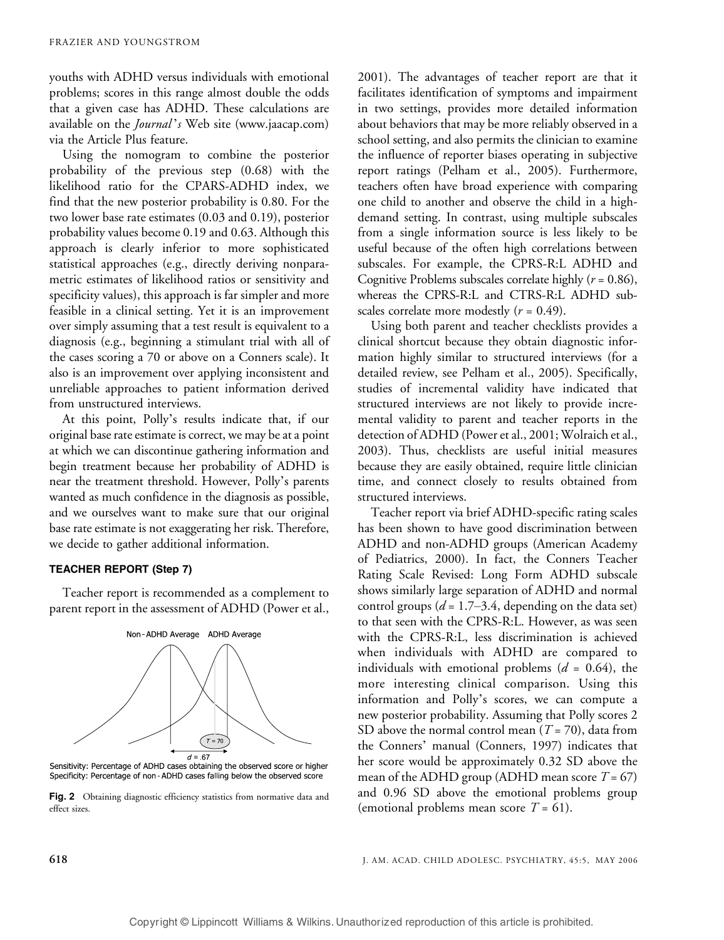youths with ADHD versus individuals with emotional problems; scores in this range almost double the odds that a given case has ADHD. These calculations are available on the *Journal's* Web site (www.jaacap.com) via the Article Plus feature.

Using the nomogram to combine the posterior probability of the previous step (0.68) with the likelihood ratio for the CPARS-ADHD index, we find that the new posterior probability is 0.80. For the two lower base rate estimates (0.03 and 0.19), posterior probability values become 0.19 and 0.63. Although this approach is clearly inferior to more sophisticated statistical approaches (e.g., directly deriving nonparametric estimates of likelihood ratios or sensitivity and specificity values), this approach is far simpler and more feasible in a clinical setting. Yet it is an improvement over simply assuming that a test result is equivalent to a diagnosis (e.g., beginning a stimulant trial with all of the cases scoring a 70 or above on a Conners scale). It also is an improvement over applying inconsistent and unreliable approaches to patient information derived from unstructured interviews.

At this point, Polly's results indicate that, if our original base rate estimate is correct, we may be at a point at which we can discontinue gathering information and begin treatment because her probability of ADHD is near the treatment threshold. However, Polly's parents wanted as much confidence in the diagnosis as possible, and we ourselves want to make sure that our original base rate estimate is not exaggerating her risk. Therefore, we decide to gather additional information.

## TEACHER REPORT (Step 7)

Teacher report is recommended as a complement to parent report in the assessment of ADHD (Power et al.,



Sensitivity: Percentage of ADHD cases obtaining the observed score or higher Specificity: Percentage of non-ADHD cases falling below the observed score

Fig. 2 Obtaining diagnostic efficiency statistics from normative data and effect sizes.

2001). The advantages of teacher report are that it facilitates identification of symptoms and impairment in two settings, provides more detailed information about behaviors that may be more reliably observed in a school setting, and also permits the clinician to examine the influence of reporter biases operating in subjective report ratings (Pelham et al., 2005). Furthermore, teachers often have broad experience with comparing one child to another and observe the child in a highdemand setting. In contrast, using multiple subscales from a single information source is less likely to be useful because of the often high correlations between subscales. For example, the CPRS-R:L ADHD and Cognitive Problems subscales correlate highly ( $r = 0.86$ ), whereas the CPRS-R:L and CTRS-R:L ADHD subscales correlate more modestly  $(r = 0.49)$ .

Using both parent and teacher checklists provides a clinical shortcut because they obtain diagnostic information highly similar to structured interviews (for a detailed review, see Pelham et al., 2005). Specifically, studies of incremental validity have indicated that structured interviews are not likely to provide incremental validity to parent and teacher reports in the detection of ADHD (Power et al., 2001; Wolraich et al., 2003). Thus, checklists are useful initial measures because they are easily obtained, require little clinician time, and connect closely to results obtained from structured interviews.

Teacher report via brief ADHD-specific rating scales has been shown to have good discrimination between ADHD and non-ADHD groups (American Academy of Pediatrics, 2000). In fact, the Conners Teacher Rating Scale Revised: Long Form ADHD subscale shows similarly large separation of ADHD and normal control groups ( $d = 1.7-3.4$ , depending on the data set) to that seen with the CPRS-R:L. However, as was seen with the CPRS-R:L, less discrimination is achieved when individuals with ADHD are compared to individuals with emotional problems ( $d = 0.64$ ), the more interesting clinical comparison. Using this information and Polly's scores, we can compute a new posterior probability. Assuming that Polly scores 2 SD above the normal control mean  $(T = 70)$ , data from the Conners' manual (Conners, 1997) indicates that her score would be approximately 0.32 SD above the mean of the ADHD group (ADHD mean score  $T = 67$ ) and 0.96 SD above the emotional problems group (emotional problems mean score  $T = 61$ ).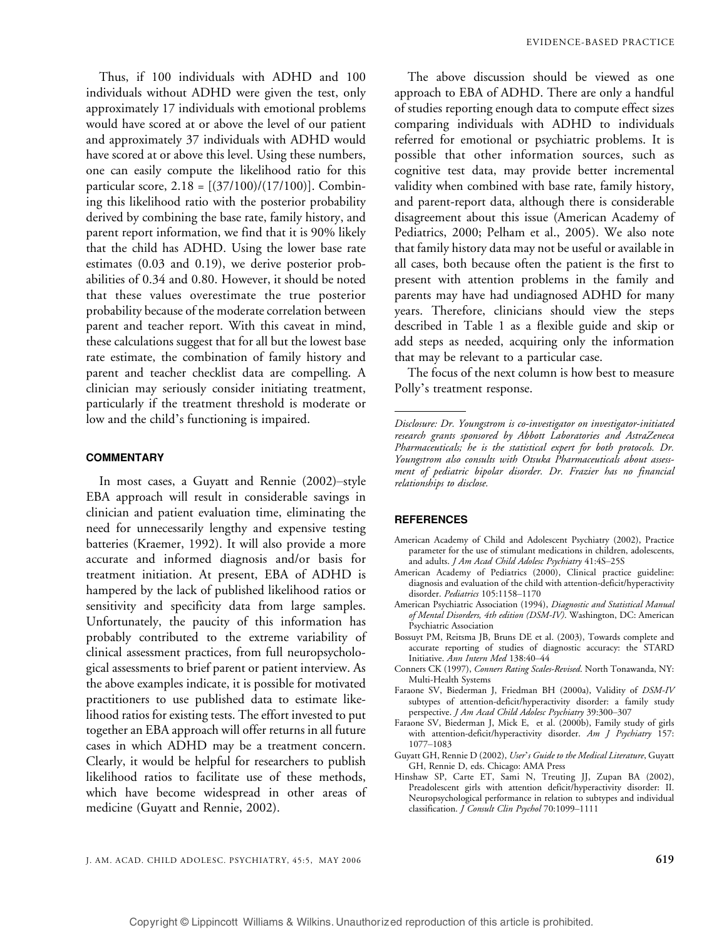Thus, if 100 individuals with ADHD and 100 individuals without ADHD were given the test, only approximately 17 individuals with emotional problems would have scored at or above the level of our patient and approximately 37 individuals with ADHD would have scored at or above this level. Using these numbers, one can easily compute the likelihood ratio for this particular score, 2.18 = [(37/100)/(17/100)]. Combining this likelihood ratio with the posterior probability derived by combining the base rate, family history, and parent report information, we find that it is 90% likely that the child has ADHD. Using the lower base rate estimates (0.03 and 0.19), we derive posterior probabilities of 0.34 and 0.80. However, it should be noted that these values overestimate the true posterior probability because of the moderate correlation between parent and teacher report. With this caveat in mind, these calculations suggest that for all but the lowest base rate estimate, the combination of family history and parent and teacher checklist data are compelling. A clinician may seriously consider initiating treatment, particularly if the treatment threshold is moderate or low and the child's functioning is impaired.

## **COMMENTARY**

In most cases, a Guyatt and Rennie (2002)-style EBA approach will result in considerable savings in clinician and patient evaluation time, eliminating the need for unnecessarily lengthy and expensive testing batteries (Kraemer, 1992). It will also provide a more accurate and informed diagnosis and/or basis for treatment initiation. At present, EBA of ADHD is hampered by the lack of published likelihood ratios or sensitivity and specificity data from large samples. Unfortunately, the paucity of this information has probably contributed to the extreme variability of clinical assessment practices, from full neuropsychological assessments to brief parent or patient interview. As the above examples indicate, it is possible for motivated practitioners to use published data to estimate likelihood ratios for existing tests. The effort invested to put together an EBA approach will offer returns in all future cases in which ADHD may be a treatment concern. Clearly, it would be helpful for researchers to publish likelihood ratios to facilitate use of these methods, which have become widespread in other areas of medicine (Guyatt and Rennie, 2002).

The above discussion should be viewed as one approach to EBA of ADHD. There are only a handful of studies reporting enough data to compute effect sizes comparing individuals with ADHD to individuals referred for emotional or psychiatric problems. It is possible that other information sources, such as cognitive test data, may provide better incremental validity when combined with base rate, family history, and parent-report data, although there is considerable disagreement about this issue (American Academy of Pediatrics, 2000; Pelham et al., 2005). We also note that family history data may not be useful or available in all cases, both because often the patient is the first to present with attention problems in the family and parents may have had undiagnosed ADHD for many years. Therefore, clinicians should view the steps described in Table 1 as a flexible guide and skip or add steps as needed, acquiring only the information that may be relevant to a particular case.

The focus of the next column is how best to measure Polly's treatment response.

Disclosure: Dr. Youngstrom is co-investigator on investigator-initiated research grants sponsored by Abbott Laboratories and AstraZeneca Pharmaceuticals; he is the statistical expert for both protocols. Dr. Youngstrom also consults with Otsuka Pharmaceuticals about assessment of pediatric bipolar disorder. Dr. Frazier has no financial relationships to disclose.

#### **REFERENCES**

- American Academy of Child and Adolescent Psychiatry (2002), Practice parameter for the use of stimulant medications in children, adolescents, and adults. J Am Acad Child Adolesc Psychiatry 41:4S-25S
- American Academy of Pediatrics (2000), Clinical practice guideline: diagnosis and evaluation of the child with attention-deficit/hyperactivity disorder. Pediatrics 105:1158-1170
- American Psychiatric Association (1994), Diagnostic and Statistical Manual of Mental Disorders, 4th edition (DSM-IV). Washington, DC: American Psychiatric Association
- Bossuyt PM, Reitsma JB, Bruns DE et al. (2003), Towards complete and accurate reporting of studies of diagnostic accuracy: the STARD Initiative. Ann Intern Med 138:40-44
- Conners CK (1997), Conners Rating Scales-Revised. North Tonawanda, NY: Multi-Health Systems
- Faraone SV, Biederman J, Friedman BH (2000a), Validity of DSM-IV subtypes of attention-deficit/hyperactivity disorder: a family study perspective. J Am Acad Child Adolesc Psychiatry 39:300-307
- Faraone SV, Biederman J, Mick E, et al. (2000b), Family study of girls with attention-deficit/hyperactivity disorder. Am J Psychiatry 157:  $1077 - 1083$
- Guyatt GH, Rennie D (2002), User's Guide to the Medical Literature, Guyatt GH, Rennie D, eds. Chicago: AMA Press
- Hinshaw SP, Carte ET, Sami N, Treuting JJ, Zupan BA (2002), Preadolescent girls with attention deficit/hyperactivity disorder: II. Neuropsychological performance in relation to subtypes and individual classification. *J Consult Clin Psychol* 70:1099-1111

J. AM. ACAD. CHILD ADOLESC. PSYCHIATRY, 45:5, MAY 2006 619